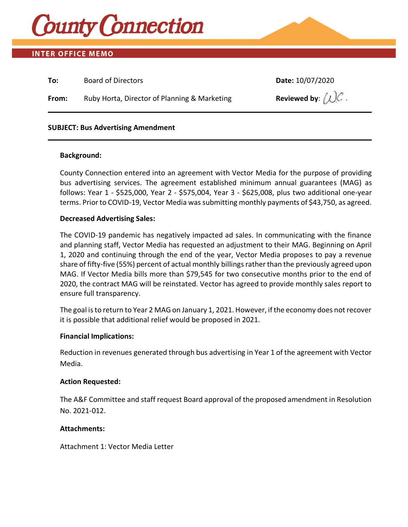

# **INTER OFFICE MEMO**

| From: | Ruby Horta, Director of Planning & Marketing | Reviewed by: $(2)$ . |
|-------|----------------------------------------------|----------------------|

## **SUBJECT: Bus Advertising Amendment**

## **Background:**

County Connection entered into an agreement with Vector Media for the purpose of providing bus advertising services. The agreement established minimum annual guarantees (MAG) as follows: Year 1 - \$525,000, Year 2 - \$575,004, Year 3 - \$625,008, plus two additional one-year terms. Prior to COVID-19, Vector Media was submitting monthly payments of \$43,750, as agreed.

## **Decreased Advertising Sales:**

The COVID-19 pandemic has negatively impacted ad sales. In communicating with the finance and planning staff, Vector Media has requested an adjustment to their MAG. Beginning on April 1, 2020 and continuing through the end of the year, Vector Media proposes to pay a revenue share of fifty-five (55%) percent of actual monthly billings rather than the previously agreed upon MAG. If Vector Media bills more than \$79,545 for two consecutive months prior to the end of 2020, the contract MAG will be reinstated. Vector has agreed to provide monthly sales report to ensure full transparency.

The goal is to return to Year 2 MAG on January 1, 2021. However, if the economy does not recover it is possible that additional relief would be proposed in 2021.

### **Financial Implications:**

Reduction in revenues generated through bus advertising in Year 1 of the agreement with Vector Media.

### **Action Requested:**

The A&F Committee and staff request Board approval of the proposed amendment in Resolution No. 2021-012.

## **Attachments:**

Attachment 1: Vector Media Letter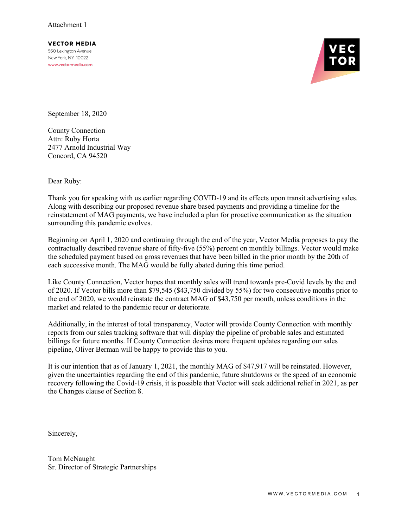**VECTOR MEDIA** 560 Lexington Avenue New York, NY 10022 www.vectormedia.com



September 18, 2020

County Connection Attn: Ruby Horta 2477 Arnold Industrial Way Concord, CA 94520

Dear Ruby:

Thank you for speaking with us earlier regarding COVID-19 and its effects upon transit advertising sales. Along with describing our proposed revenue share based payments and providing a timeline for the reinstatement of MAG payments, we have included a plan for proactive communication as the situation surrounding this pandemic evolves.

Beginning on April 1, 2020 and continuing through the end of the year, Vector Media proposes to pay the contractually described revenue share of fifty-five (55%) percent on monthly billings. Vector would make the scheduled payment based on gross revenues that have been billed in the prior month by the 20th of each successive month. The MAG would be fully abated during this time period.

Like County Connection, Vector hopes that monthly sales will trend towards pre-Covid levels by the end of 2020. If Vector bills more than \$79,545 (\$43,750 divided by 55%) for two consecutive months prior to the end of 2020, we would reinstate the contract MAG of \$43,750 per month, unless conditions in the market and related to the pandemic recur or deteriorate.

Additionally, in the interest of total transparency, Vector will provide County Connection with monthly reports from our sales tracking software that will display the pipeline of probable sales and estimated billings for future months. If County Connection desires more frequent updates regarding our sales pipeline, Oliver Berman will be happy to provide this to you.

It is our intention that as of January 1, 2021, the monthly MAG of \$47,917 will be reinstated. However, given the uncertainties regarding the end of this pandemic, future shutdowns or the speed of an economic recovery following the Covid-19 crisis, it is possible that Vector will seek additional relief in 2021, as per the Changes clause of Section 8.

Sincerely,

Tom McNaught Sr. Director of Strategic Partnerships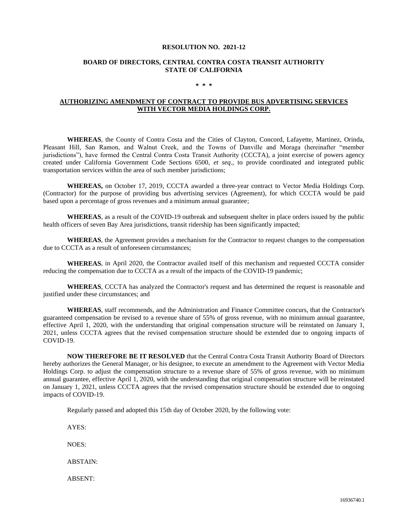#### **RESOLUTION NO. 2021-12**

#### **BOARD OF DIRECTORS, CENTRAL CONTRA COSTA TRANSIT AUTHORITY STATE OF CALIFORNIA**

#### **\* \* \***

#### **AUTHORIZING AMENDMENT OF CONTRACT TO PROVIDE BUS ADVERTISING SERVICES WITH VECTOR MEDIA HOLDINGS CORP.**

**WHEREAS**, the County of Contra Costa and the Cities of Clayton, Concord, Lafayette, Martinez, Orinda, Pleasant Hill, San Ramon, and Walnut Creek, and the Towns of Danville and Moraga (hereinafter "member jurisdictions"), have formed the Central Contra Costa Transit Authority (CCCTA), a joint exercise of powers agency created under California Government Code Sections 6500, *et seq*., to provide coordinated and integrated public transportation services within the area of such member jurisdictions;

**WHEREAS,** on October 17, 2019, CCCTA awarded a three-year contract to Vector Media Holdings Corp. (Contractor) for the purpose of providing bus advertising services (Agreement), for which CCCTA would be paid based upon a percentage of gross revenues and a minimum annual guarantee;

**WHEREAS**, as a result of the COVID-19 outbreak and subsequent shelter in place orders issued by the public health officers of seven Bay Area jurisdictions, transit ridership has been significantly impacted;

**WHEREAS**, the Agreement provides a mechanism for the Contractor to request changes to the compensation due to CCCTA as a result of unforeseen circumstances;

**WHEREAS**, in April 2020, the Contractor availed itself of this mechanism and requested CCCTA consider reducing the compensation due to CCCTA as a result of the impacts of the COVID-19 pandemic;

**WHEREAS**, CCCTA has analyzed the Contractor's request and has determined the request is reasonable and justified under these circumstances; and

**WHEREAS**, staff recommends, and the Administration and Finance Committee concurs, that the Contractor's guaranteed compensation be revised to a revenue share of 55% of gross revenue, with no minimum annual guarantee, effective April 1, 2020, with the understanding that original compensation structure will be reinstated on January 1, 2021, unless CCCTA agrees that the revised compensation structure should be extended due to ongoing impacts of COVID-19.

**NOW THEREFORE BE IT RESOLVED** that the Central Contra Costa Transit Authority Board of Directors hereby authorizes the General Manager, or his designee, to execute an amendment to the Agreement with Vector Media Holdings Corp. to adjust the compensation structure to a revenue share of 55% of gross revenue, with no minimum annual guarantee, effective April 1, 2020, with the understanding that original compensation structure will be reinstated on January 1, 2021, unless CCCTA agrees that the revised compensation structure should be extended due to ongoing impacts of COVID-19.

Regularly passed and adopted this 15th day of October 2020, by the following vote:

AYES:

NOES:

ABSTAIN:

ABSENT: